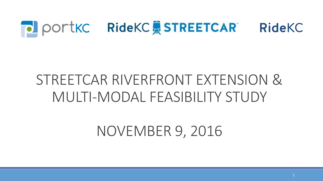

## STREETCAR RIVERFRONT EXTENSION & MULTI-MODAL FEASIBILITY STUDY

**NOVEMBER 9, 2016**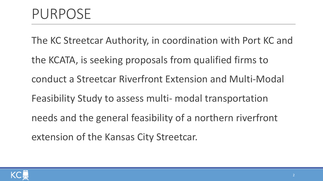The KC Streetcar Authority, in coordination with Port KC and

the KCATA, is seeking proposals from qualified firms to conduct a Streetcar Riverfront Extension and Multi-Modal Feasibility Study to assess multi- modal transportation needs and the general feasibility of a northern riverfront extension of the Kansas City Streetcar.

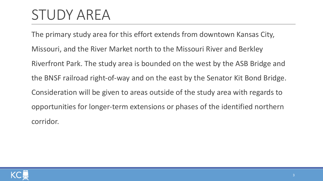## STUDY AREA

The primary study area for this effort extends from downtown Kansas City, Missouri, and the River Market north to the Missouri River and Berkley Riverfront Park. The study area is bounded on the west by the ASB Bridge and the BNSF railroad right-of-way and on the east by the Senator Kit Bond Bridge. Consideration will be given to areas outside of the study area with regards to opportunities for longer-term extensions or phases of the identified northern corridor. 

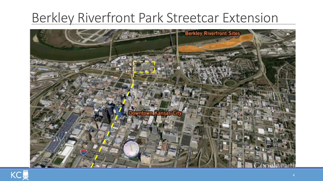#### Berkley Riverfront Park Streetcar Extension



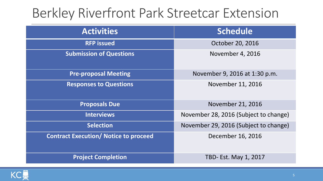#### Berkley Riverfront Park Streetcar Extension

| <b>Activities</b>                            | <b>Schedule</b>                       |
|----------------------------------------------|---------------------------------------|
| <b>RFP</b> issued                            | October 20, 2016                      |
| <b>Submission of Questions</b>               | November 4, 2016                      |
| <b>Pre-proposal Meeting</b>                  | November 9, 2016 at 1:30 p.m.         |
| <b>Responses to Questions</b>                | November 11, 2016                     |
| <b>Proposals Due</b>                         | November 21, 2016                     |
| <b>Interviews</b>                            | November 28, 2016 (Subject to change) |
| <b>Selection</b>                             | November 29, 2016 (Subject to change) |
| <b>Contract Execution/ Notice to proceed</b> | December 16, 2016                     |
| <b>Project Completion</b>                    | TBD- Est. May 1, 2017                 |

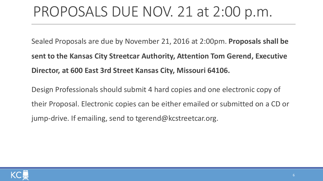### PROPOSALS DUE NOV. 21 at 2:00 p.m.

Sealed Proposals are due by November 21, 2016 at 2:00pm. **Proposals shall be sent to the Kansas City Streetcar Authority, Attention Tom Gerend, Executive** Director, at 600 East 3rd Street Kansas City, Missouri 64106.

Design Professionals should submit 4 hard copies and one electronic copy of their Proposal. Electronic copies can be either emailed or submitted on a CD or jump-drive. If emailing, send to tgerend@kcstreetcar.org.

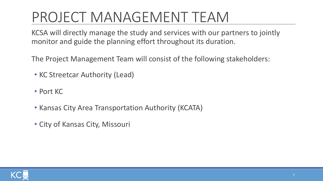## PROJECT MANAGEMENT TEAM

KCSA will directly manage the study and services with our partners to jointly monitor and guide the planning effort throughout its duration.

The Project Management Team will consist of the following stakeholders:

- KC Streetcar Authority (Lead)
- Port KC
- Kansas City Area Transportation Authority (KCATA)
- City of Kansas City, Missouri

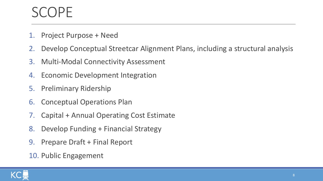### SCOPF

- 1. Project Purpose + Need
- 2. Develop Conceptual Streetcar Alignment Plans, including a structural analysis
- 3. Multi-Modal Connectivity Assessment
- 4. Economic Development Integration
- 5. Preliminary Ridership
- 6. Conceptual Operations Plan
- 7. Capital + Annual Operating Cost Estimate
- 8. Develop Funding + Financial Strategy
- 9. Prepare Draft + Final Report
- 10. Public Engagement

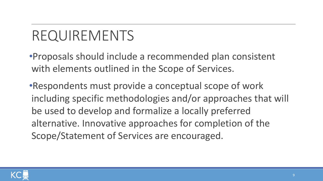•Proposals should include a recommended plan consistent with elements outlined in the Scope of Services.

•Respondents must provide a conceptual scope of work including specific methodologies and/or approaches that will be used to develop and formalize a locally preferred alternative. Innovative approaches for completion of the Scope/Statement of Services are encouraged.

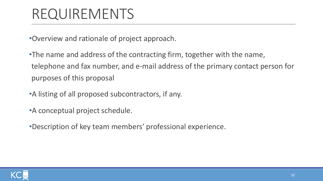•Overview and rationale of project approach.

•The name and address of the contracting firm, together with the name, telephone and fax number, and e-mail address of the primary contact person for purposes of this proposal

• A listing of all proposed subcontractors, if any.

• A conceptual project schedule.

•Description of key team members' professional experience.

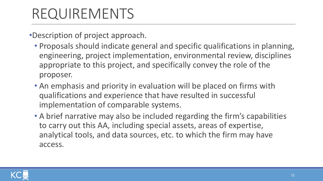•Description of project approach.

- Proposals should indicate general and specific qualifications in planning, engineering, project implementation, environmental review, disciplines appropriate to this project, and specifically convey the role of the proposer.
- An emphasis and priority in evaluation will be placed on firms with qualifications and experience that have resulted in successful implementation of comparable systems.
- A brief narrative may also be included regarding the firm's capabilities to carry out this AA, including special assets, areas of expertise, analytical tools, and data sources, etc. to which the firm may have access.

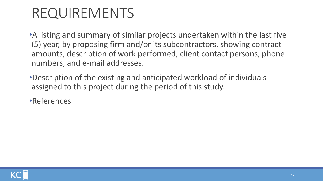•A listing and summary of similar projects undertaken within the last five (5) year, by proposing firm and/or its subcontractors, showing contract amounts, description of work performed, client contact persons, phone numbers, and e-mail addresses.

- •Description of the existing and anticipated workload of individuals assigned to this project during the period of this study.
- •References

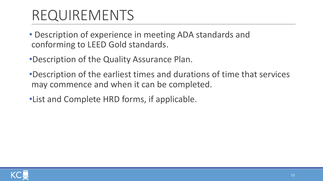- Description of experience in meeting ADA standards and conforming to LEED Gold standards.
- •Description of the Quality Assurance Plan.
- •Description of the earliest times and durations of time that services may commence and when it can be completed.
- •List and Complete HRD forms, if applicable.

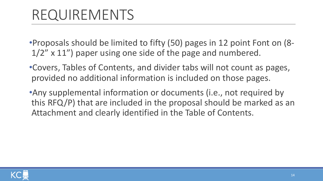•Proposals should be limited to fifty (50) pages in 12 point Font on (8- $1/2$ " x  $11$ ") paper using one side of the page and numbered.

• Covers, Tables of Contents, and divider tabs will not count as pages, provided no additional information is included on those pages.

•Any supplemental information or documents (i.e., not required by this RFQ/P) that are included in the proposal should be marked as an Attachment and clearly identified in the Table of Contents.

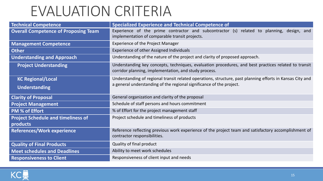### EVALUATION CRITERIA

| <b>Technical Competence</b>                 | <b>Specialized Experience and Technical Competence of</b>                                                                                                     |
|---------------------------------------------|---------------------------------------------------------------------------------------------------------------------------------------------------------------|
| <b>Overall Competence of Proposing Team</b> | Experience of the prime contractor and subcontractor (s) related to planning, design, and<br>implementation of comparable transit projects.                   |
| <b>Management Competence</b>                | <b>Experience of the Project Manager</b>                                                                                                                      |
| <b>Other</b>                                | <b>Experience of other Assigned Individuals</b>                                                                                                               |
| <b>Understanding and Approach</b>           | Understanding of the nature of the project and clarity of proposed approach.                                                                                  |
| <b>Project Understanding</b>                | Understanding key concepts, techniques, evaluation procedures, and best practices related to transit<br>corridor planning, implementation, and study process. |
| <b>KC Regional/Local</b>                    | Understanding of regional transit related operations, structure, past planning efforts in Kansas City and                                                     |
| <b>Understanding</b>                        | a general understanding of the regional significance of the project.                                                                                          |
| <b>Clarity of Proposal</b>                  | General organization and clarity of the proposal                                                                                                              |
| <b>Project Management</b>                   | Schedule of staff persons and hours commitment                                                                                                                |
| <b>PM % of Effort</b>                       | % of Effort for the project management staff                                                                                                                  |
| <b>Project Schedule and timeliness of</b>   | Project schedule and timeliness of products                                                                                                                   |
| products                                    |                                                                                                                                                               |
| <b>References/Work experience</b>           | Reference reflecting previous work experience of the project team and satisfactory accomplishment of<br>contractor responsibilities.                          |
| <b>Quality of Final Products</b>            | Quality of final product                                                                                                                                      |
| <b>Meet schedules and Deadlines</b>         | Ability to meet work schedules                                                                                                                                |
| <b>Responsiveness to Client</b>             | Responsiveness of client input and needs                                                                                                                      |

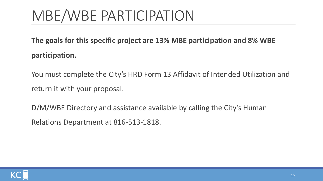# MBE/WBE PARTICIPATION

**The goals for this specific project are 13% MBE participation and 8% WBE participation.** 

You must complete the City's HRD Form 13 Affidavit of Intended Utilization and return it with your proposal.

D/M/WBE Directory and assistance available by calling the City's Human Relations Department at 816-513-1818.

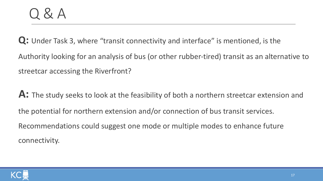**Q:** Under Task 3, where "transit connectivity and interface" is mentioned, is the Authority looking for an analysis of bus (or other rubber-tired) transit as an alternative to streetcar accessing the Riverfront?

**A:** The study seeks to look at the feasibility of both a northern streetcar extension and the potential for northern extension and/or connection of bus transit services. Recommendations could suggest one mode or multiple modes to enhance future connectivity. 

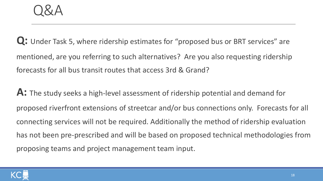**Q:** Under Task 5, where ridership estimates for "proposed bus or BRT services" are mentioned, are you referring to such alternatives? Are you also requesting ridership forecasts for all bus transit routes that access 3rd & Grand?

A: The study seeks a high-level assessment of ridership potential and demand for proposed riverfront extensions of streetcar and/or bus connections only. Forecasts for all connecting services will not be required. Additionally the method of ridership evaluation has not been pre-prescribed and will be based on proposed technical methodologies from proposing teams and project management team input.

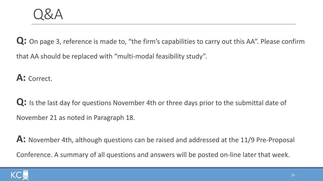**Q:** On page 3, reference is made to, "the firm's capabilities to carry out this AA". Please confirm that AA should be replaced with "multi-modal feasibility study".

A: Correct.

Q: Is the last day for questions November 4th or three days prior to the submittal date of November 21 as noted in Paragraph 18.

A: November 4th, although questions can be raised and addressed at the 11/9 Pre-Proposal Conference. A summary of all questions and answers will be posted on-line later that week.

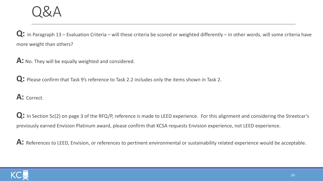Q: In Paragraph 13 – Evaluation Criteria – will these criteria be scored or weighted differently – in other words, will some criteria have more weight than others?

A: No. They will be equally weighted and considered.

**Q:** Please confirm that Task 9's reference to Task 2.2 includes only the items shown in Task 2.

A: Correct.

Q: In Section 5c(2) on page 3 of the RFQ/P, reference is made to LEED experience. For this alignment and considering the Streetcar's previously earned Envision Platinum award, please confirm that KCSA requests Envision experience, not LEED experience.

A: References to LEED, Envision, or references to pertinent environmental or sustainability related experience would be acceptable.

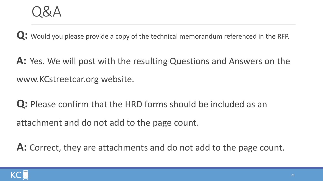**Q:** Would you please provide a copy of the technical memorandum referenced in the RFP.

**A:** Yes. We will post with the resulting Questions and Answers on the www.KCstreetcar.org website.

**Q:** Please confirm that the HRD forms should be included as an attachment and do not add to the page count.

A: Correct, they are attachments and do not add to the page count.